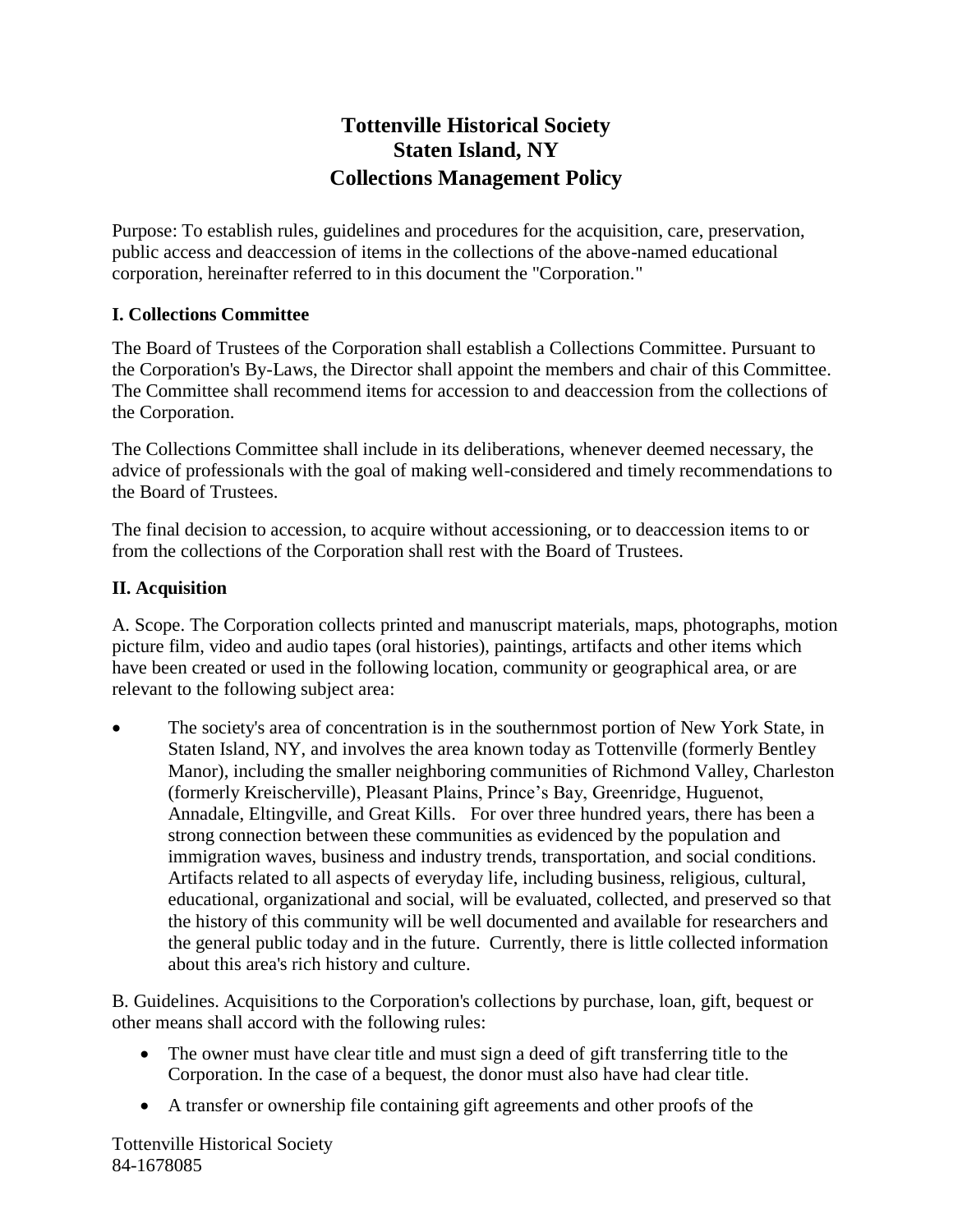# **Tottenville Historical Society Staten Island, NY Collections Management Policy**

Purpose: To establish rules, guidelines and procedures for the acquisition, care, preservation, public access and deaccession of items in the collections of the above-named educational corporation, hereinafter referred to in this document the "Corporation."

#### **I. Collections Committee**

The Board of Trustees of the Corporation shall establish a Collections Committee. Pursuant to the Corporation's By-Laws, the Director shall appoint the members and chair of this Committee. The Committee shall recommend items for accession to and deaccession from the collections of the Corporation.

The Collections Committee shall include in its deliberations, whenever deemed necessary, the advice of professionals with the goal of making well-considered and timely recommendations to the Board of Trustees.

The final decision to accession, to acquire without accessioning, or to deaccession items to or from the collections of the Corporation shall rest with the Board of Trustees.

#### **II. Acquisition**

A. Scope. The Corporation collects printed and manuscript materials, maps, photographs, motion picture film, video and audio tapes (oral histories), paintings, artifacts and other items which have been created or used in the following location, community or geographical area, or are relevant to the following subject area:

 The society's area of concentration is in the southernmost portion of New York State, in Staten Island, NY, and involves the area known today as Tottenville (formerly Bentley Manor), including the smaller neighboring communities of Richmond Valley, Charleston (formerly Kreischerville), Pleasant Plains, Prince's Bay, Greenridge, Huguenot, Annadale, Eltingville, and Great Kills. For over three hundred years, there has been a strong connection between these communities as evidenced by the population and immigration waves, business and industry trends, transportation, and social conditions. Artifacts related to all aspects of everyday life, including business, religious, cultural, educational, organizational and social, will be evaluated, collected, and preserved so that the history of this community will be well documented and available for researchers and the general public today and in the future. Currently, there is little collected information about this area's rich history and culture.

B. Guidelines. Acquisitions to the Corporation's collections by purchase, loan, gift, bequest or other means shall accord with the following rules:

- The owner must have clear title and must sign a deed of gift transferring title to the Corporation. In the case of a bequest, the donor must also have had clear title.
- A transfer or ownership file containing gift agreements and other proofs of the

Tottenville Historical Society 84-1678085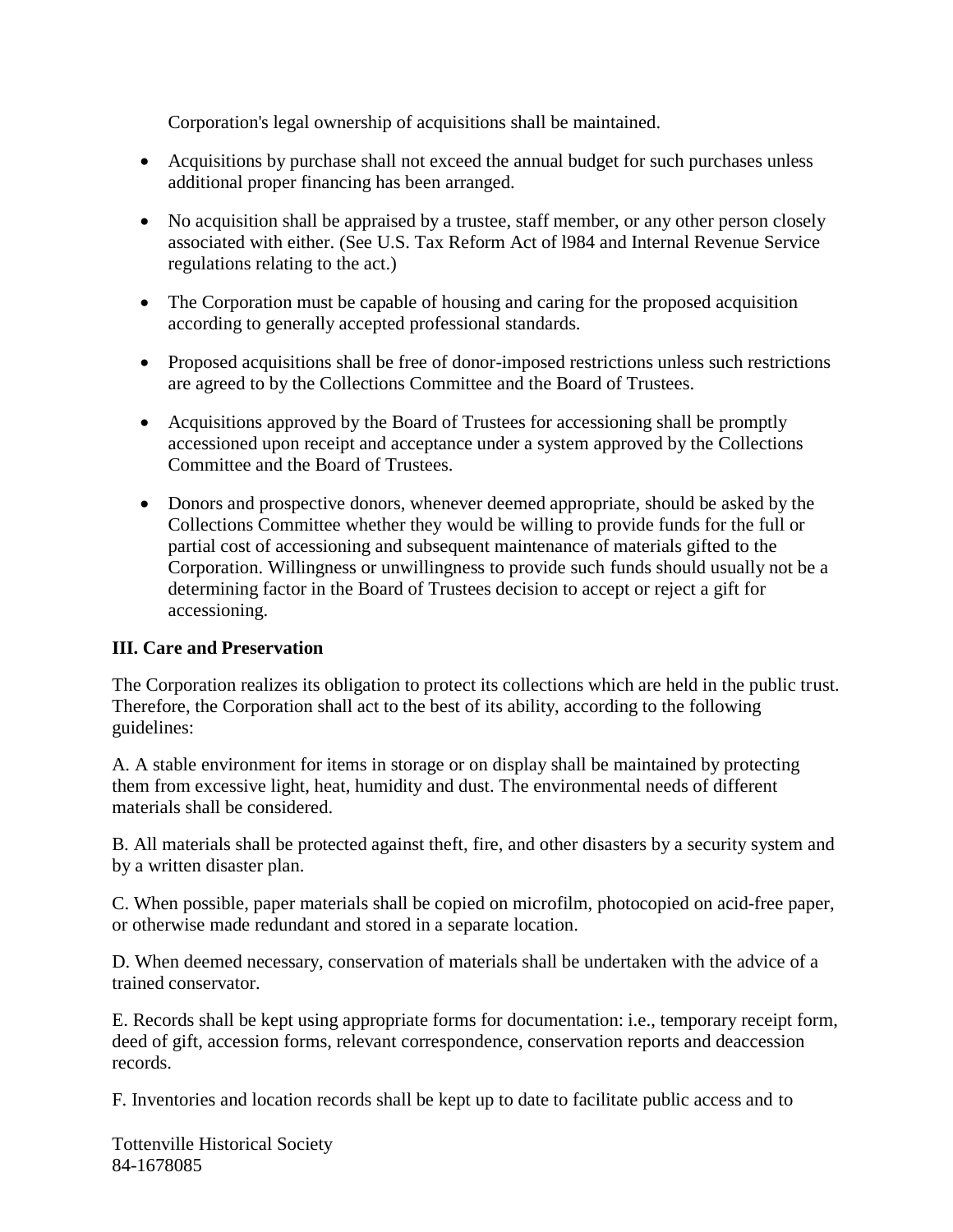Corporation's legal ownership of acquisitions shall be maintained.

- Acquisitions by purchase shall not exceed the annual budget for such purchases unless additional proper financing has been arranged.
- No acquisition shall be appraised by a trustee, staff member, or any other person closely associated with either. (See U.S. Tax Reform Act of l984 and Internal Revenue Service regulations relating to the act.)
- The Corporation must be capable of housing and caring for the proposed acquisition according to generally accepted professional standards.
- Proposed acquisitions shall be free of donor-imposed restrictions unless such restrictions are agreed to by the Collections Committee and the Board of Trustees.
- Acquisitions approved by the Board of Trustees for accessioning shall be promptly accessioned upon receipt and acceptance under a system approved by the Collections Committee and the Board of Trustees.
- Donors and prospective donors, whenever deemed appropriate, should be asked by the Collections Committee whether they would be willing to provide funds for the full or partial cost of accessioning and subsequent maintenance of materials gifted to the Corporation. Willingness or unwillingness to provide such funds should usually not be a determining factor in the Board of Trustees decision to accept or reject a gift for accessioning.

#### **III. Care and Preservation**

The Corporation realizes its obligation to protect its collections which are held in the public trust. Therefore, the Corporation shall act to the best of its ability, according to the following guidelines:

A. A stable environment for items in storage or on display shall be maintained by protecting them from excessive light, heat, humidity and dust. The environmental needs of different materials shall be considered.

B. All materials shall be protected against theft, fire, and other disasters by a security system and by a written disaster plan.

C. When possible, paper materials shall be copied on microfilm, photocopied on acid-free paper, or otherwise made redundant and stored in a separate location.

D. When deemed necessary, conservation of materials shall be undertaken with the advice of a trained conservator.

E. Records shall be kept using appropriate forms for documentation: i.e., temporary receipt form, deed of gift, accession forms, relevant correspondence, conservation reports and deaccession records.

F. Inventories and location records shall be kept up to date to facilitate public access and to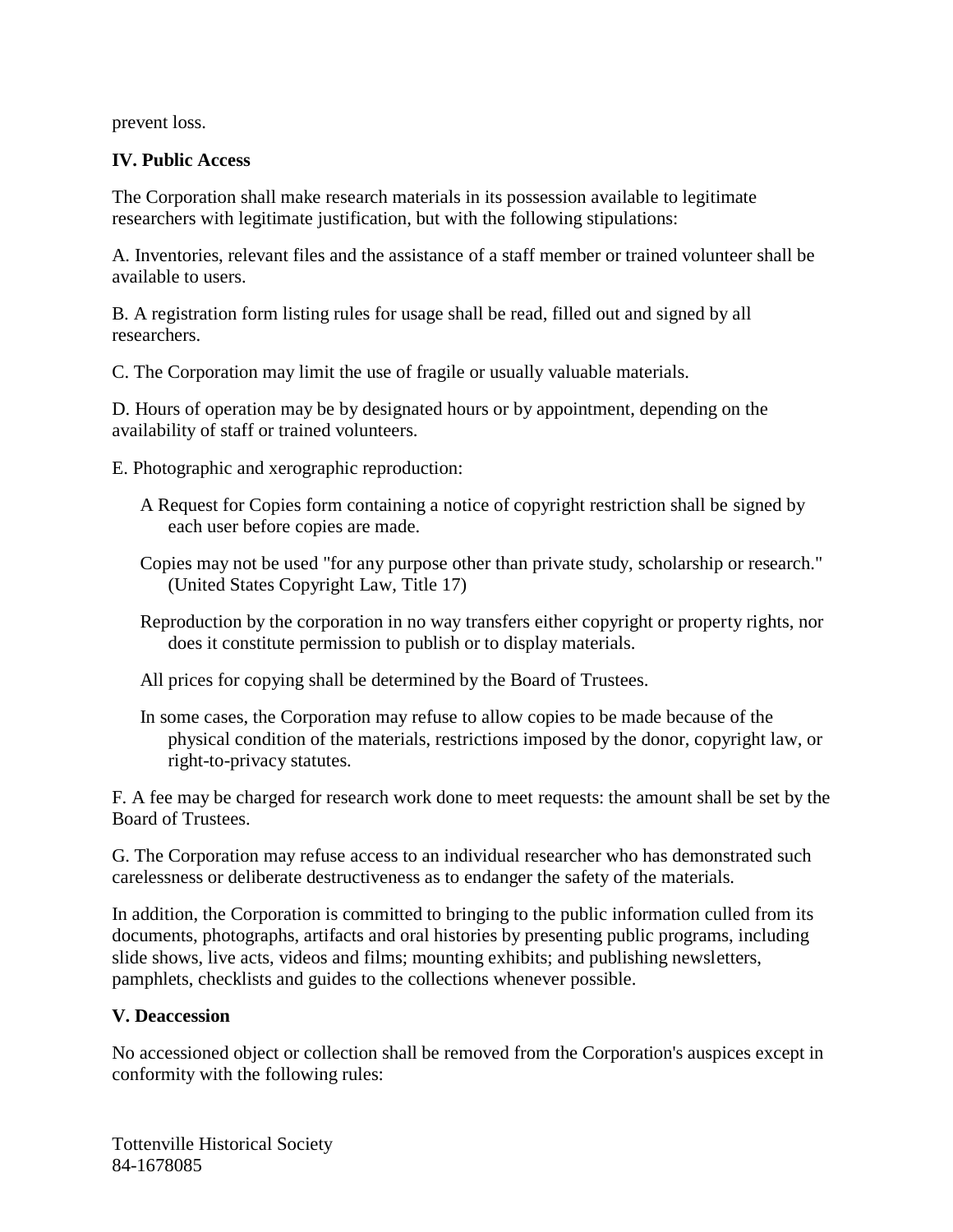prevent loss.

### **IV. Public Access**

The Corporation shall make research materials in its possession available to legitimate researchers with legitimate justification, but with the following stipulations:

A. Inventories, relevant files and the assistance of a staff member or trained volunteer shall be available to users.

B. A registration form listing rules for usage shall be read, filled out and signed by all researchers.

C. The Corporation may limit the use of fragile or usually valuable materials.

D. Hours of operation may be by designated hours or by appointment, depending on the availability of staff or trained volunteers.

E. Photographic and xerographic reproduction:

- A Request for Copies form containing a notice of copyright restriction shall be signed by each user before copies are made.
- Copies may not be used "for any purpose other than private study, scholarship or research." (United States Copyright Law, Title 17)
- Reproduction by the corporation in no way transfers either copyright or property rights, nor does it constitute permission to publish or to display materials.
- All prices for copying shall be determined by the Board of Trustees.
- In some cases, the Corporation may refuse to allow copies to be made because of the physical condition of the materials, restrictions imposed by the donor, copyright law, or right-to-privacy statutes.

F. A fee may be charged for research work done to meet requests: the amount shall be set by the Board of Trustees.

G. The Corporation may refuse access to an individual researcher who has demonstrated such carelessness or deliberate destructiveness as to endanger the safety of the materials.

In addition, the Corporation is committed to bringing to the public information culled from its documents, photographs, artifacts and oral histories by presenting public programs, including slide shows, live acts, videos and films; mounting exhibits; and publishing newsletters, pamphlets, checklists and guides to the collections whenever possible.

## **V. Deaccession**

No accessioned object or collection shall be removed from the Corporation's auspices except in conformity with the following rules: